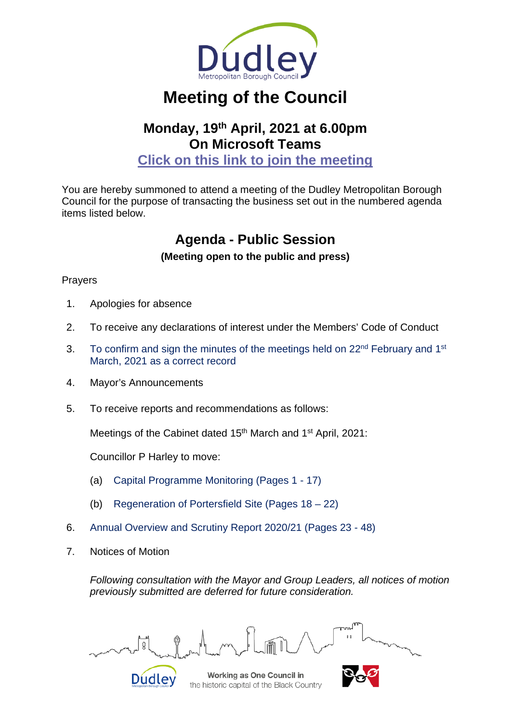

# **Meeting of the Council**

# **Monday, 19th April, 2021 at 6.00pm On Microsoft Teams**

**[Click on this link to join the meeting](https://teams.microsoft.com/l/meetup-join/19%3ameeting_MmM4YTlkYmMtMzAxMi00ZjI1LWI3OTgtYzA3MmFiM2U5ZTQ3%40thread.v2/0?context=%7b%22Tid%22%3a%22e6a7eb3f-ec2a-4216-93de-823d273b1d03%22%2c%22Oid%22%3a%2265903102-fece-4c57-aa8c-1f5b16f9bd80%22%7d)**

You are hereby summoned to attend a meeting of the Dudley Metropolitan Borough Council for the purpose of transacting the business set out in the numbered agenda items listed below.

## **Agenda - Public Session**

### **(Meeting open to the public and press)**

### Prayers

- 1. Apologies for absence
- 2. To receive any declarations of interest under the Members' Code of Conduct
- 3. To confirm and sign the minutes of the meetings held on 22<sup>nd</sup> February and 1<sup>st</sup> March, 2021 as a correct record
- 4. Mayor's Announcements
- 5. To receive reports and recommendations as follows:

Meetings of the Cabinet dated 15<sup>th</sup> March and 1<sup>st</sup> April, 2021:

Councillor P Harley to move:

- (a) Capital Programme Monitoring (Pages 1 17)
- (b) Regeneration of Portersfield Site (Pages 18 22)
- 6. Annual Overview and Scrutiny Report 2020/21 (Pages 23 48)
- 7. Notices of Motion

*Following consultation with the Mayor and Group Leaders, all notices of motion previously submitted are deferred for future consideration.*

Q



Working as One Council in the historic capital of the Black Country

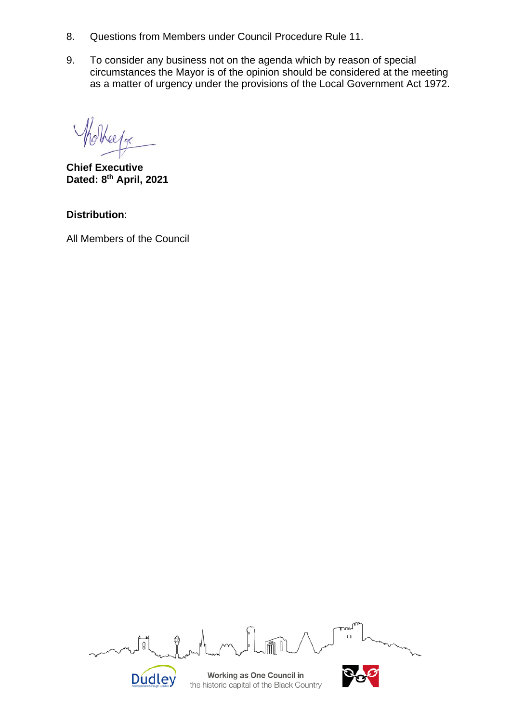- 8. Questions from Members under Council Procedure Rule 11.
- 9. To consider any business not on the agenda which by reason of special circumstances the Mayor is of the opinion should be considered at the meeting as a matter of urgency under the provisions of the Local Government Act 1972.

ee/oc

**Chief Executive Dated: 8th April, 2021**

**Distribution**:

All Members of the Council